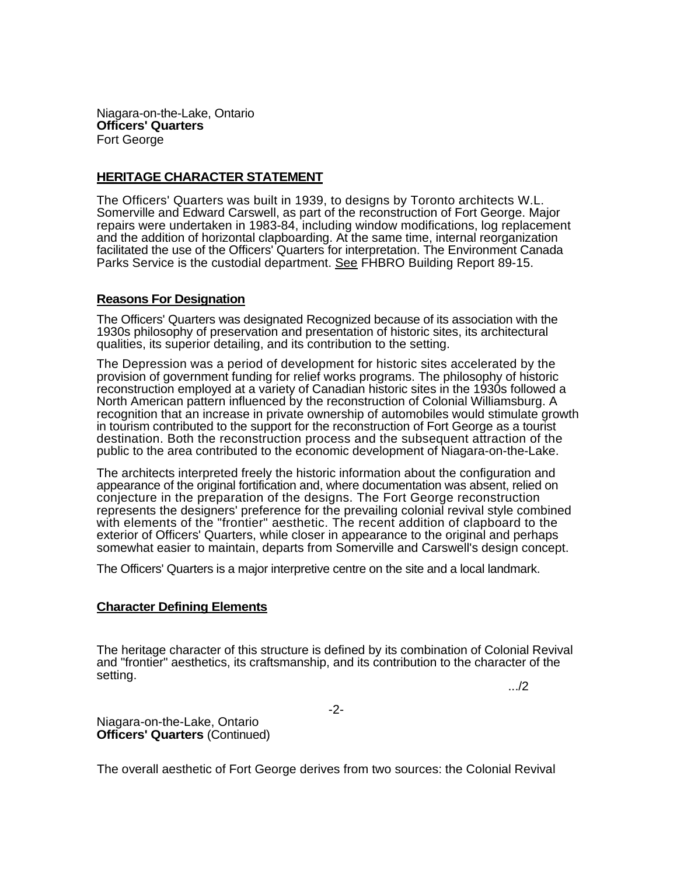Niagara-on-the-Lake, Ontario **Officers' Quarters**  Fort George

## **HERITAGE CHARACTER STATEMENT**

The Officers' Quarters was built in 1939, to designs by Toronto architects W.L. Somerville and Edward Carswell, as part of the reconstruction of Fort George. Major repairs were undertaken in 1983-84, including window modifications, log replacement and the addition of horizontal clapboarding. At the same time, internal reorganization facilitated the use of the Officers' Quarters for interpretation. The Environment Canada Parks Service is the custodial department. See FHBRO Building Report 89-15.

## **Reasons For Designation**

The Officers' Quarters was designated Recognized because of its association with the 1930s philosophy of preservation and presentation of historic sites, its architectural qualities, its superior detailing, and its contribution to the setting.

The Depression was a period of development for historic sites accelerated by the provision of government funding for relief works programs. The philosophy of historic reconstruction employed at a variety of Canadian historic sites in the 1930s followed a North American pattern influenced by the reconstruction of Colonial Williamsburg. A recognition that an increase in private ownership of automobiles would stimulate growth in tourism contributed to the support for the reconstruction of Fort George as a tourist destination. Both the reconstruction process and the subsequent attraction of the public to the area contributed to the economic development of Niagara-on-the-Lake.

The architects interpreted freely the historic information about the configuration and appearance of the original fortification and, where documentation was absent, relied on conjecture in the preparation of the designs. The Fort George reconstruction represents the designers' preference for the prevailing colonial revival style combined with elements of the "frontier" aesthetic. The recent addition of clapboard to the exterior of Officers' Quarters, while closer in appearance to the original and perhaps somewhat easier to maintain, departs from Somerville and Carswell's design concept.

The Officers' Quarters is a major interpretive centre on the site and a local landmark.

## **Character Defining Elements**

The heritage character of this structure is defined by its combination of Colonial Revival and "frontier" aesthetics, its craftsmanship, and its contribution to the character of the setting. .../2

-2-

Niagara-on-the-Lake, Ontario **Officers' Quarters** (Continued)

The overall aesthetic of Fort George derives from two sources: the Colonial Revival